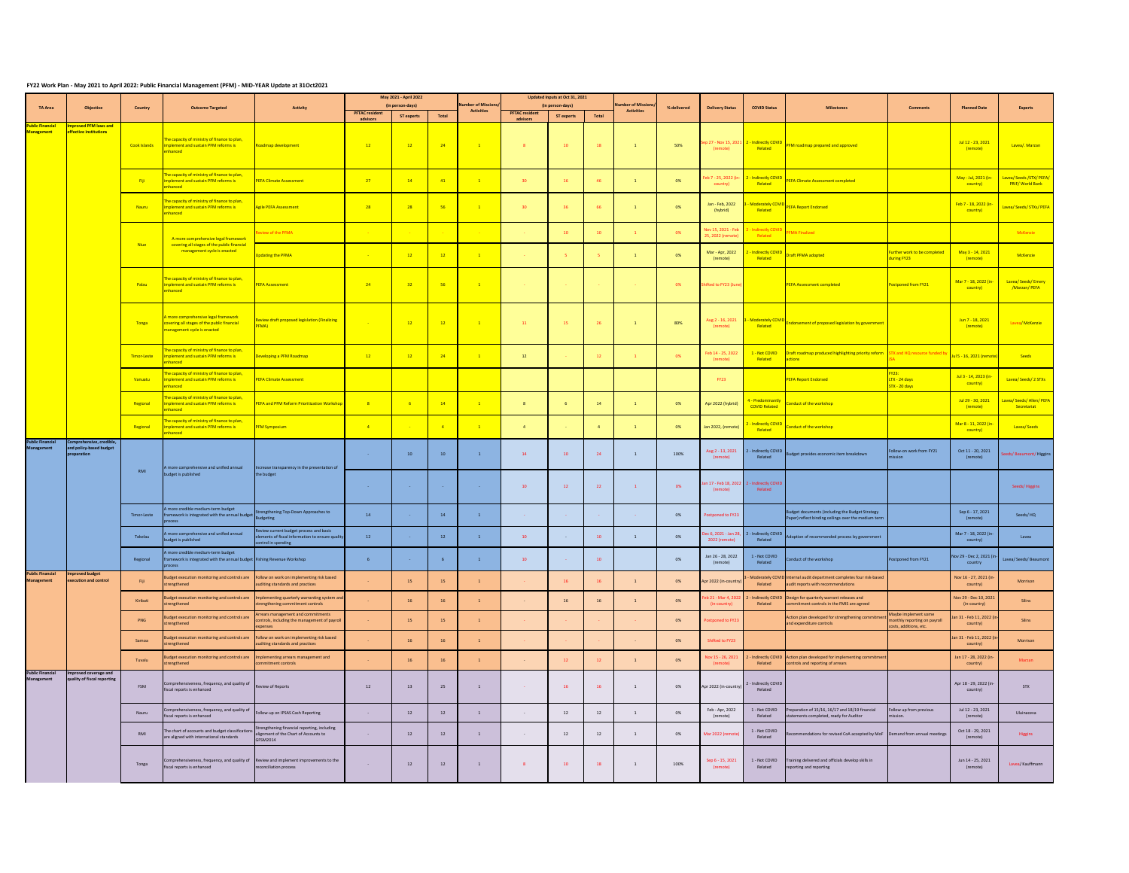## **FY22 Work Plan - May 2021 to April 2022: Public Financial Management (PFM) - MID-YEAR Update at 31Oct2021**

|                                              |                                                                    |                     |                                                                                                                                     |                                                                                                                    | May 2021 - April 2022   |                                       |                          |                                                | Updated Inputs at Oct 31, 2021 |                                |                   | Number of Missions |             |                                         |                                                       |                                                                                                                                     |                                                                                |                                               |                                                    |
|----------------------------------------------|--------------------------------------------------------------------|---------------------|-------------------------------------------------------------------------------------------------------------------------------------|--------------------------------------------------------------------------------------------------------------------|-------------------------|---------------------------------------|--------------------------|------------------------------------------------|--------------------------------|--------------------------------|-------------------|--------------------|-------------|-----------------------------------------|-------------------------------------------------------|-------------------------------------------------------------------------------------------------------------------------------------|--------------------------------------------------------------------------------|-----------------------------------------------|----------------------------------------------------|
| <b>TA Area</b>                               | <b>Objective</b>                                                   | Country             | <b>Outcome Targeted</b>                                                                                                             | <b>Activity</b>                                                                                                    | <b>PFTAC resident</b>   | (in person-days)<br><b>ST experts</b> | Total                    | <b>Number of Missions</b><br><b>Activities</b> | <b>PFTAC resident</b>          | (in person-days)<br>ST experts | Total             | <b>Activities</b>  | % delivered | <b>Delivery Status</b>                  | <b>COVID Status</b>                                   | <b>Milestones</b>                                                                                                                   | <b>Comments</b>                                                                | <b>Planned Date</b>                           | <b>Experts</b>                                     |
| <b>Public Financial</b><br><b>Management</b> | <b>Improved PFM laws and</b><br>effective institutions             |                     |                                                                                                                                     |                                                                                                                    | advisors                |                                       |                          |                                                | advisors                       |                                |                   |                    |             |                                         |                                                       |                                                                                                                                     |                                                                                |                                               |                                                    |
|                                              |                                                                    | Cook Islands        | The capacity of ministry of finance to plan,<br>implement and sustain PFM reforms is<br>nhanced                                     | Roadmap development                                                                                                | 12                      | $-12$                                 | $\overline{24}$          | $\overline{1}$                                 | 8 <sup>°</sup>                 | 10                             | 18                | $\mathbf{1}$       | 50%         | (remote)                                | Sep 27 - Nov 15, 2021 2 - Indirectly COVID<br>Related | <b>PFM roadmap prepared and approved</b>                                                                                            |                                                                                | Jul 12 - 23, 2021<br>(remote)                 | Lavea/. Marzan                                     |
|                                              |                                                                    | <mark>i Fiji</mark> | The capacity of ministry of finance to plan,<br>implement and sustain PFM reforms is<br>enhanced                                    | <b>PEFA Climate Assessment</b>                                                                                     | 27                      | $-14$                                 | $-41$                    | $\overline{1}$                                 | 30 <sup>2</sup>                | 16                             | 46                |                    | 0%          | country)                                | Feb 7 - 25, 2022 (in- 2 - Indirectly COVID<br>Related | PEFA Climate Assessment completed                                                                                                   |                                                                                | May - Jul, 2021 (in-<br><mark>country)</mark> | Lavea/ Seeds /STX/ PEFA/<br><b>PRIF/World Bank</b> |
|                                              |                                                                    | <b>Nauru</b>        | The capacity of ministry of finance to plan,<br>mplement and sustain PFM reforms is<br>nhanced                                      | <b>Agile PEFA Assessment</b>                                                                                       | 28                      | $-28$                                 | $-56$                    | $\overline{1}$                                 | 30 <sup>2</sup>                | 36                             | - 66              | $\overline{1}$     | 0%          | Jan - Feb, 2022<br>(hybrid)             | - Moderately COVID<br>Related                         | <b>PEFA Report Endorsed</b>                                                                                                         |                                                                                | Feb 7 - 18, 2022 (in-<br>country)             | Lavea/ Seeds/ STXs/ PEFA                           |
|                                              |                                                                    | <b>Niue</b>         | A more comprehensive legal framework<br>covering all stages of the public financial                                                 | <b>Review of the PFMA</b>                                                                                          | <b>Contract</b>         | <b>Contract Contract</b>              | <b>Contract Contract</b> |                                                | <b>College</b>                 | 10                             | 10                |                    | 0%          | Nov 15, 2021 - Feb<br>25, 2022 (remote) | 2 - Indirectly COVID<br>Related                       | <b>PFMA Finalized</b>                                                                                                               |                                                                                |                                               | McKenzie                                           |
|                                              |                                                                    |                     | management cycle is enacted                                                                                                         | <b>Updating the PFMA</b>                                                                                           | $\sim$ $ \sim$          | $\overline{12}$                       | $\overline{12}$          | $\overline{1}$                                 | <b>Contract</b>                | $-5$                           |                   | $\overline{1}$     | 0%          | Mar - Apr, 2022<br>(remote)             | 2 - Indirectly COVID<br>Related                       | Oraft PFMA adopted                                                                                                                  | Further work to be completed<br>during FY23                                    | May 3 - 14, 2021<br>(remote)                  | McKenzie                                           |
|                                              |                                                                    | Palau               | The capacity of ministry of finance to plan,<br>mplement and sustain PFM reforms is<br>nhanced                                      | <b>PEFA Assessment</b>                                                                                             | $-24$                   | $-32$                                 | $-56$                    | $\overline{1}$                                 | <b>Contract</b>                | <b>Contractor</b>              | <b>Contractor</b> | <b>Contractor</b>  | 0%          | Shifted to FY23 (June                   |                                                       | <b>PEFA Assessment completed</b>                                                                                                    | Postponed from FY21                                                            | Mar 7 - 18, 2022 (in-<br>country)             | Lavea/ Seeds/ Emery<br>/Marzan/PEFA                |
|                                              |                                                                    | Tonga               | A more comprehensive legal framework<br>covering all stages of the public financial<br>management cycle is enacted                  | Review draft proposed legislation (Finalizing<br>PFMA)                                                             | <b>College</b>          | $\frac{12}{12}$                       | $\sim$ 12 $\sim$         | $\overline{1}$                                 | $-11$                          | 15                             | 26                | $\mathbf{1}$       | 80%         | (remote)                                | Aug 2 - 16, 2021 3 - Moderately COVID<br>Related      | Endorsement of proposed legislation by government                                                                                   |                                                                                | Jun 7 - 18, 2021<br>(remote)                  | Lavea/ McKenzie                                    |
|                                              |                                                                    | Timor-Leste         | The capacity of ministry of finance to plan,<br>implement and sustain PFM reforms is<br>nhanced                                     | Developing a PFM Roadmap                                                                                           | 12                      | 12                                    | 24                       |                                                | 12                             |                                |                   |                    | -0%         | (remote)                                | Related                                               | Feb 14 - 25, 2022 1 - Not COVID <b>Draft roadmap produced highlighting priority reform</b> STX and HQ resource funded by<br>actions |                                                                                | Jul 5 - 16, 2021 (remote)                     | Seeds                                              |
|                                              |                                                                    | Vanuatu             | The capacity of ministry of finance to plan,<br>mplement and sustain PFM reforms is<br>hanced                                       | <b>PEFA Climate Assessment</b>                                                                                     |                         |                                       |                          |                                                |                                |                                |                   |                    |             | <b>FY23</b>                             |                                                       | <b>PEFA Report Endorsed</b>                                                                                                         | <mark>Y23:</mark><br>LTX - 24 days<br>STX - 20 days                            | Jul 3 - 14, 2023 (in-<br>country)             | Lavea/Seeds/2STXs                                  |
|                                              |                                                                    | Regional            | The capacity of ministry of finance to plan,<br>nplement and sustain PFM reforms is<br>nhanced                                      | PEFA and PFM Reform Prioritization Workshop                                                                        | 8 <sup>2</sup>          | $-6$                                  | $\frac{14}{1}$           | $\overline{1}$                                 | 8                              |                                | 14                |                    | 0%          | Apr 2022 (hybrid)                       | 4 - Predominantly<br><b>COVID Related</b>             | Conduct of the workshop                                                                                                             |                                                                                | Jul 29 - 30, 2021<br>(remote)                 | Lavea/ Seeds/ Allen/ PEFA<br>Secretariat           |
|                                              |                                                                    | Regional            | The capacity of ministry of finance to plan,<br>nplement and sustain PFM reforms is<br>nhanced                                      | <b>PFM Symposium</b>                                                                                               | $\overline{4}$          | <b>State State</b>                    | $\overline{4}$           |                                                | $\overline{4}$                 | $\sim 100$                     |                   |                    | 0%          | Jan 2022, (remote)                      | <mark>2 - Indirectly COVID</mark><br>Related          | Conduct of the workshop                                                                                                             |                                                                                | Mar 8 - 11, 2022 (in-<br>country)             | Lavea/Seeds                                        |
| <b>Public Financial</b><br><b>Management</b> | Comprehensive, credible,<br>and policy-based budget<br>preparation | RMI                 | A more comprehensive and unified annual                                                                                             | Increase transparency in the presentation of                                                                       | <b>Contract</b>         | 10                                    | 10                       | $\mathbf{1}$                                   | 14                             | 10                             | 24                | $\overline{1}$     | 100%        | Aug 2 - 13, 2021<br>(remote)            | 2 - Indirectly COVID<br>Related                       | Budget provides economic item breakdown                                                                                             | Follow-on work from FY21<br>mission                                            | Oct 11 - 20, 2021<br>(remote)                 | Seeds/Beaumont/Higgins                             |
|                                              |                                                                    |                     | budget is published                                                                                                                 | the budget                                                                                                         | <b>Common</b>           | <b>Service</b>                        | <b>Service</b> State     | $\sim 1000$ km s $^{-1}$                       | 10                             | 12                             | 22                | $\mathbf{1}$       | 0%          | (remote)                                | Jan 17 - Feb 18, 2022 2 - Indirectly COVID<br>Related |                                                                                                                                     |                                                                                |                                               | Seeds/Higgins                                      |
|                                              |                                                                    | Timor-Leste         | A more credible medium-term budget<br>framework is integrated with the annual budget Strengthening Top-Down Approaches to<br>rocess |                                                                                                                    | 14                      |                                       | 14                       |                                                | <b>Contract</b>                | <b>Contract</b>                |                   | <b>Contract</b>    | 0%          | Postponed to FY23                       |                                                       | Budget documents (including the Budget Strategy<br>Paper) reflect binding ceilings over the medium term                             |                                                                                | Sep 6 - 17, 2021<br>(remote)                  | Seeds/HQ                                           |
|                                              |                                                                    | Tokelau             | more comprehensive and unified annual<br>budget is published                                                                        | Review current budget process and basic<br>elements of fiscal information to ensure quality<br>control in spending | 12                      |                                       | 12                       |                                                | 10                             | $\sim 100$                     | 10                | <sup>1</sup>       | 0%          | 2022 (remote)                           | Dec 6, 2021 - Jan 28, 2 - Indirectly COVID<br>Related | doption of recommended process by government                                                                                        |                                                                                | Mar 7 - 18, 2022 (in-<br>country)             | Lavea                                              |
| <b>Public Financial</b>                      | Improved budget                                                    | Regional            | A more credible medium-term budget<br>framework is integrated with the annual budget Fishing Revenue Workshop<br>process            |                                                                                                                    |                         |                                       |                          |                                                | 10                             | <b>Contract</b>                | 10 <sup>°</sup>   |                    | 0%          | Jan 26 - 28, 2022<br>(remote)           | 1 - Not COVID<br>Related                              | Conduct of the workshop                                                                                                             | Postponed from FY21                                                            | Nov 29 - Dec 2, 2021 (in-<br>country          | Lavea/ Seeds/ Beaumont                             |
| <b>Management</b>                            | execution and control                                              | Fiji                | Budget execution monitoring and controls are Follow on work on implementing risk based<br>trengthened                               | auditing standards and practices                                                                                   |                         | 15                                    | 15                       | $\mathbf{1}$                                   |                                | 16                             |                   |                    | 0%          | Apr 2022 (in-country)                   | Related                                               | - Moderately COVID Internal audit department completes four risk-based<br>audit reports with recommendations                        |                                                                                | Nov 16 - 27, 2021 (in-<br>country)            | Morrison                                           |
|                                              |                                                                    | Kiribati            | udget execution monitoring and controls are<br>trengthened                                                                          | Implementing quarterly warranting system and<br>strengthening commitment controls                                  |                         | <b>16</b>                             | 16                       |                                                | $\sim$ $-$                     | 16                             |                   |                    | 0%          | b 21 - Mar 4, 202<br>(in-country)       | Related                                               | 2 - Indirectly COVID Design for quarterly warrant releases and<br>commitment controls in the FMIS are agreed                        |                                                                                | Nov 29 - Dec 10, 2021<br>(in-country)         | Silins                                             |
|                                              |                                                                    | <b>PNG</b>          | Budget execution monitoring and controls are<br>strengthened                                                                        | Arrears management and commitments<br>controls, including the management of payroll                                |                         | 15                                    | 15                       |                                                |                                |                                |                   |                    | 0%          | Postponed to FY23                       |                                                       | Action plan developed for strengthening commitment<br>and expenditure controls                                                      | Maybe implement some<br>monthly reporting on payroll<br>costs, additions, etc. | Jan 31 - Feb 11, 2022 (in-<br>country)        | Silins                                             |
|                                              |                                                                    | Samoa               | Budget execution monitoring and controls are Follow on work on implementing risk based<br>strengthened                              | auditing standards and practices                                                                                   |                         | <b>16</b>                             | 16                       | $\mathbf{1}$                                   |                                |                                |                   | <b>Contract</b>    | 0%          | Shifted to FY23                         |                                                       |                                                                                                                                     |                                                                                | Jan 31 - Feb 11, 2022 (in<br>country)         | Morrison                                           |
|                                              |                                                                    | Tuvalu              | udget execution monitoring and controls are<br><b>strengthened</b>                                                                  | Implementing arrears management and<br>commitment controls                                                         |                         | <b>16</b>                             | 16                       |                                                |                                | 12                             |                   |                    | 0%          | Nov 15 - 26, 2021<br>(remote)           | Related                                               | 2 - Indirectly COVID Action plan developed for implementing commitment<br>controls and reporting of arrears                         |                                                                                | Jan 17 - 28, 2022 (in-<br>country)            | <b>Marzan</b>                                      |
| <b>Public Financial</b><br><b>Management</b> | mproved coverage and<br>quality of fiscal reporting                | FSM                 | Comprehensiveness, frequency, and quality of<br>iscal reports is enhanced                                                           | <b>Review of Reports</b>                                                                                           | 12                      | 13                                    | 25                       | 1                                              | <b>Contract</b>                | 16                             | <b>16</b>         |                    | 0%          | Apr 2022 (in-country)                   | 2 - Indirectly COVID<br>Related                       |                                                                                                                                     |                                                                                | Apr 18 - 29, 2022 (in-<br>country)            | <b>STX</b>                                         |
|                                              |                                                                    | Nauru               | Comprehensiveness, frequency, and quality of<br>scal reports is enhanced                                                            | Follow-up on IPSAS Cash Reporting                                                                                  | $\sim 100$ km s $^{-1}$ | 12                                    | 12                       |                                                | $\sim$                         | 12                             | 12                |                    | 0%          | Feb - Apr, 2022<br>(remote)             | 1 - Not COVID<br>Related                              | Preparation of 15/16, 16/17 and 18/19 financial<br>statements completed, ready for Auditor                                          | ollow up from previous<br>nission.                                             | Jul 12 - 23, 2021<br>(remote)                 | Uluinaceva                                         |
|                                              |                                                                    | RMI                 | The chart of accounts and budget classification<br>are aligned with international standards                                         | Strengthening financial reporting, including<br>alignment of the Chart of Accounts to<br>GFSM2014                  | $\sim 10^{-10}$         | 12                                    | 12                       |                                                | $\sim$                         | 12                             | 12                |                    | 0%          | Mar 2022 (remote                        | 1 - Not COVID<br>Related                              | Recommendations for revised CoA accepted by MoF Demand from annual meetings                                                         |                                                                                | Oct 18 - 29, 2021<br>(remote)                 | Higgins                                            |
|                                              |                                                                    | Tonga               | Comprehensiveness, frequency, and quality of<br>scal reports is enhanced                                                            | Review and implement improvements to the<br>reconciliation process                                                 | <b>Contract</b>         | 12                                    | 12                       | 1                                              | 8                              | 10                             | 18                |                    | 100%        | Sep 6 - 15, 2021<br>(remote)            | 1 - Not COVID<br>Related                              | Training delivered and officials develop skills in<br>reporting and reporting                                                       |                                                                                | Jun 14 - 25, 2021<br>(remote)                 | Lavea/ Kauffmann                                   |